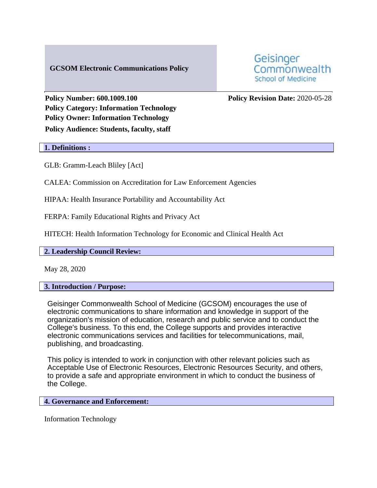# **GCSOM Electronic Communications Policy**



**Policy Category: Information Technology Policy Owner: Information Technology Policy Audience: Students, faculty, staff**

**Policy Number: 600.1009.100 Policy Revision Date:** 2020-05-28

#### **1. Definitions :**

GLB: Gramm-Leach Bliley [Act]

CALEA: Commission on Accreditation for Law Enforcement Agencies

HIPAA: Health Insurance Portability and Accountability Act

FERPA: Family Educational Rights and Privacy Act

HITECH: Health Information Technology for Economic and Clinical Health Act

## **2. Leadership Council Review:**

May 28, 2020

## **3. Introduction / Purpose:**

Geisinger Commonwealth School of Medicine (GCSOM) encourages the use of electronic communications to share information and knowledge in support of the organization's mission of education, research and public service and to conduct the College's business. To this end, the College supports and provides interactive electronic communications services and facilities for telecommunications, mail, publishing, and broadcasting.

This policy is intended to work in conjunction with other relevant policies such as Acceptable Use of Electronic Resources, Electronic Resources Security, and others, to provide a safe and appropriate environment in which to conduct the business of the College.

## **4. Governance and Enforcement:**

Information Technology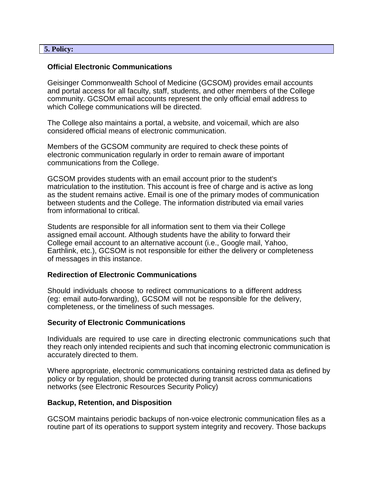#### **5. Policy:**

#### **Official Electronic Communications**

Geisinger Commonwealth School of Medicine (GCSOM) provides email accounts and portal access for all faculty, staff, students, and other members of the College community. GCSOM email accounts represent the only official email address to which College communications will be directed.

The College also maintains a portal, a website, and voicemail, which are also considered official means of electronic communication.

Members of the GCSOM community are required to check these points of electronic communication regularly in order to remain aware of important communications from the College.

GCSOM provides students with an email account prior to the student's matriculation to the institution. This account is free of charge and is active as long as the student remains active. Email is one of the primary modes of communication between students and the College. The information distributed via email varies from informational to critical.

Students are responsible for all information sent to them via their College assigned email account. Although students have the ability to forward their College email account to an alternative account (i.e., Google mail, Yahoo, Earthlink, etc.), GCSOM is not responsible for either the delivery or completeness of messages in this instance.

## **Redirection of Electronic Communications**

Should individuals choose to redirect communications to a different address (eg: email auto-forwarding), GCSOM will not be responsible for the delivery, completeness, or the timeliness of such messages.

## **Security of Electronic Communications**

Individuals are required to use care in directing electronic communications such that they reach only intended recipients and such that incoming electronic communication is accurately directed to them.

Where appropriate, electronic communications containing restricted data as defined by policy or by regulation, should be protected during transit across communications networks (see Electronic Resources Security Policy)

## **Backup, Retention, and Disposition**

GCSOM maintains periodic backups of non-voice electronic communication files as a routine part of its operations to support system integrity and recovery. Those backups